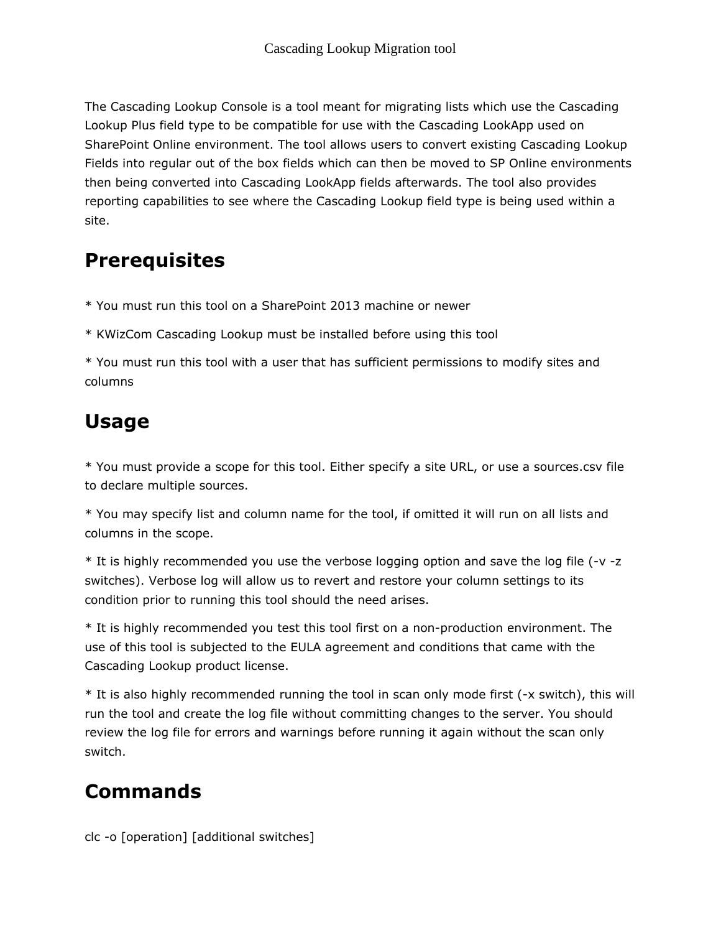The Cascading Lookup Console is a tool meant for migrating lists which use the Cascading Lookup Plus field type to be compatible for use with the Cascading LookApp used on SharePoint Online environment. The tool allows users to convert existing Cascading Lookup Fields into regular out of the box fields which can then be moved to SP Online environments then being converted into Cascading LookApp fields afterwards. The tool also provides reporting capabilities to see where the Cascading Lookup field type is being used within a site.

## **Prerequisites**

\* You must run this tool on a SharePoint 2013 machine or newer

\* KWizCom Cascading Lookup must be installed before using this tool

\* You must run this tool with a user that has sufficient permissions to modify sites and columns

## Usage

\* You must provide a scope for this tool. Either specify a site URL, or use a sources.csv file to declare multiple sources.

\* You may specify list and column name for the tool, if omitted it will run on all lists and columns in the scope.

\* It is highly recommended you use the verbose logging option and save the log file (-v -z switches). Verbose log will allow us to revert and restore your column settings to its condition prior to running this tool should the need arises.

\* It is highly recommended you test this tool first on a non-production environment. The use of this tool is subjected to the EULA agreement and conditions that came with the Cascading Lookup product license.

\* It is also highly recommended running the tool in scan only mode first (-x switch), this will run the tool and create the log file without committing changes to the server. You should review the log file for errors and warnings before running it again without the scan only switch.

## Commands

clc -o [operation] [additional switches]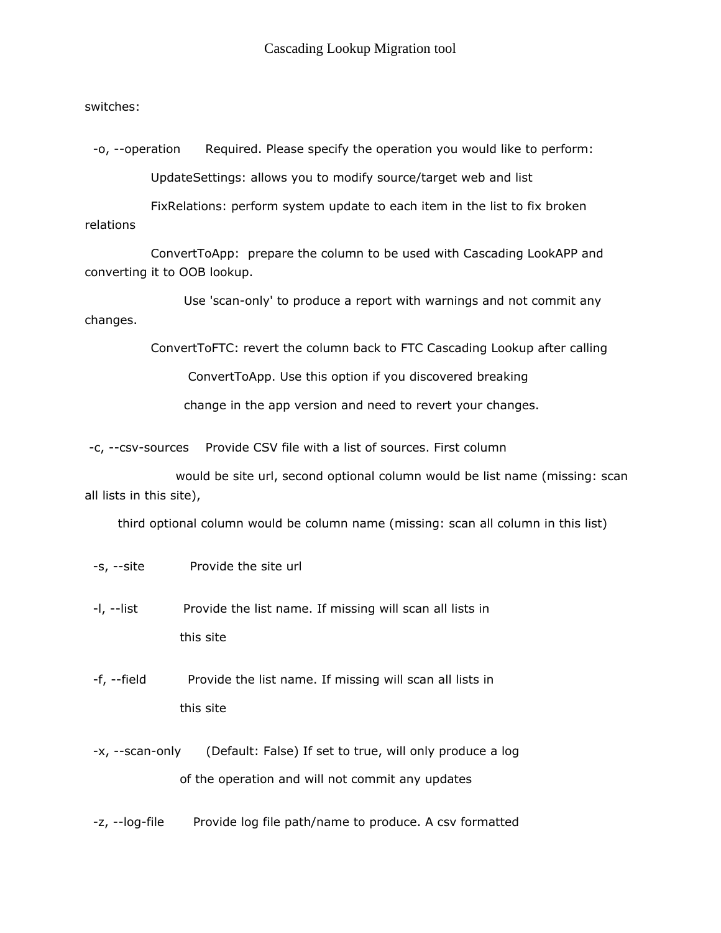switches:

-o, --operation Required. Please specify the operation you would like to perform: UpdateSettings: allows you to modify source/target web and list

FixRelations: perform system update to each item in the list to fix broken relations

ConvertToApp: prepare the column to be used with Cascading LookAPP and converting it to OOB lookup.

Use 'scan-only' to produce a report with warnings and not commit any changes.

ConvertToFTC: revert the column back to FTC Cascading Lookup after calling

ConvertToApp. Use this option if you discovered breaking

change in the app version and need to revert your changes.

-c, --csv-sources Provide CSV file with a list of sources. First column

would be site url, second optional column would be list name (missing: scan all lists in this site),

third optional column would be column name (missing: scan all column in this list)

- -s, --site Provide the site url
- -I, --list Provide the list name. If missing will scan all lists in this site
- -f, --field Provide the list name. If missing will scan all lists in this site
- -x, --scan-only (Default: False) If set to true, will only produce a log of the operation and will not commit any updates
- -z, --log-file Provide log file path/name to produce. A csv formatted